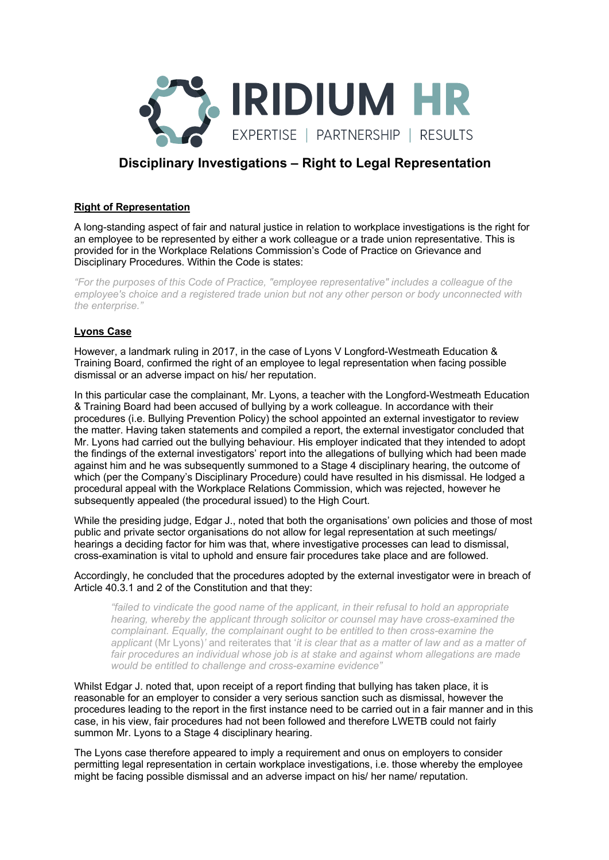

# **Disciplinary Investigations – Right to Legal Representation**

### **Right of Representation**

A long-standing aspect of fair and natural justice in relation to workplace investigations is the right for an employee to be represented by either a work colleague or a trade union representative. This is provided for in the Workplace Relations Commission's Code of Practice on Grievance and Disciplinary Procedures. Within the Code is states:

*"For the purposes of this Code of Practice, "employee representative" includes a colleague of the employee's choice and a registered trade union but not any other person or body unconnected with the enterprise."*

## **Lyons Case**

However, a landmark ruling in 2017, in the case of Lyons V Longford-Westmeath Education & Training Board, confirmed the right of an employee to legal representation when facing possible dismissal or an adverse impact on his/ her reputation.

In this particular case the complainant, Mr. Lyons, a teacher with the Longford-Westmeath Education & Training Board had been accused of bullying by a work colleague. In accordance with their procedures (i.e. Bullying Prevention Policy) the school appointed an external investigator to review the matter. Having taken statements and compiled a report, the external investigator concluded that Mr. Lyons had carried out the bullying behaviour. His employer indicated that they intended to adopt the findings of the external investigators' report into the allegations of bullying which had been made against him and he was subsequently summoned to a Stage 4 disciplinary hearing, the outcome of which (per the Company's Disciplinary Procedure) could have resulted in his dismissal. He lodged a procedural appeal with the Workplace Relations Commission, which was rejected, however he subsequently appealed (the procedural issued) to the High Court.

While the presiding judge, Edgar J., noted that both the organisations' own policies and those of most public and private sector organisations do not allow for legal representation at such meetings/ hearings a deciding factor for him was that, where investigative processes can lead to dismissal, cross-examination is vital to uphold and ensure fair procedures take place and are followed.

#### Accordingly, he concluded that the procedures adopted by the external investigator were in breach of Article 40.3.1 and 2 of the Constitution and that they:

*"failed to vindicate the good name of the applicant, in their refusal to hold an appropriate hearing, whereby the applicant through solicitor or counsel may have cross-examined the complainant. Equally, the complainant ought to be entitled to then cross-examine the applicant* (Mr Lyons)*'* and reiterates that '*it is clear that as a matter of law and as a matter of*  fair procedures an individual whose job is at stake and against whom allegations are made *would be entitled to challenge and cross-examine evidence"*

Whilst Edgar J. noted that, upon receipt of a report finding that bullying has taken place, it is reasonable for an employer to consider a very serious sanction such as dismissal, however the procedures leading to the report in the first instance need to be carried out in a fair manner and in this case, in his view, fair procedures had not been followed and therefore LWETB could not fairly summon Mr. Lyons to a Stage 4 disciplinary hearing.

The Lyons case therefore appeared to imply a requirement and onus on employers to consider permitting legal representation in certain workplace investigations, i.e. those whereby the employee might be facing possible dismissal and an adverse impact on his/ her name/ reputation.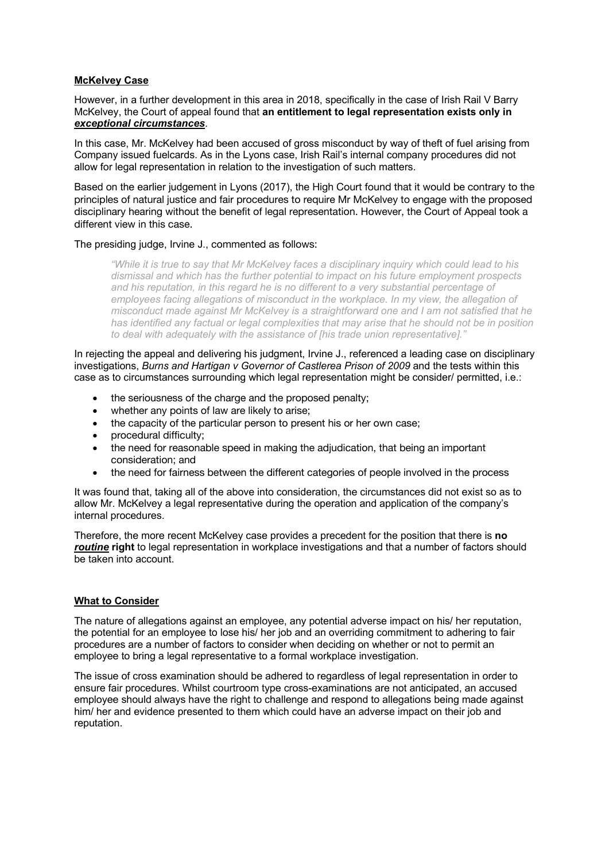## **McKelvey Case**

However, in a further development in this area in 2018, specifically in the case of Irish Rail V Barry McKelvey, the Court of appeal found that **an entitlement to legal representation exists only in** *exceptional circumstances*.

In this case, Mr. McKelvey had been accused of gross misconduct by way of theft of fuel arising from Company issued fuelcards. As in the Lyons case, Irish Rail's internal company procedures did not allow for legal representation in relation to the investigation of such matters.

Based on the earlier judgement in Lyons (2017), the High Court found that it would be contrary to the principles of natural justice and fair procedures to require Mr McKelvey to engage with the proposed disciplinary hearing without the benefit of legal representation. However, the Court of Appeal took a different view in this case.

#### The presiding judge, Irvine J., commented as follows:

*"While it is true to say that Mr McKelvey faces a disciplinary inquiry which could lead to his dismissal and which has the further potential to impact on his future employment prospects and his reputation, in this regard he is no different to a very substantial percentage of employees facing allegations of misconduct in the workplace. In my view, the allegation of misconduct made against Mr McKelvey is a straightforward one and I am not satisfied that he has identified any factual or legal complexities that may arise that he should not be in position to deal with adequately with the assistance of [his trade union representative]."*

In rejecting the appeal and delivering his judgment, Irvine J., referenced a leading case on disciplinary investigations, *Burns and Hartigan v Governor of Castlerea Prison of 2009* and the tests within this case as to circumstances surrounding which legal representation might be consider/ permitted, i.e.:

- the seriousness of the charge and the proposed penalty;
- whether any points of law are likely to arise;
- the capacity of the particular person to present his or her own case;
- procedural difficulty;
- the need for reasonable speed in making the adjudication, that being an important consideration; and
- the need for fairness between the different categories of people involved in the process

It was found that, taking all of the above into consideration, the circumstances did not exist so as to allow Mr. McKelvey a legal representative during the operation and application of the company's internal procedures.

Therefore, the more recent McKelvey case provides a precedent for the position that there is **no** *routine* **right** to legal representation in workplace investigations and that a number of factors should be taken into account.

#### **What to Consider**

The nature of allegations against an employee, any potential adverse impact on his/ her reputation, the potential for an employee to lose his/ her job and an overriding commitment to adhering to fair procedures are a number of factors to consider when deciding on whether or not to permit an employee to bring a legal representative to a formal workplace investigation.

The issue of cross examination should be adhered to regardless of legal representation in order to ensure fair procedures. Whilst courtroom type cross-examinations are not anticipated, an accused employee should always have the right to challenge and respond to allegations being made against him/ her and evidence presented to them which could have an adverse impact on their job and reputation.